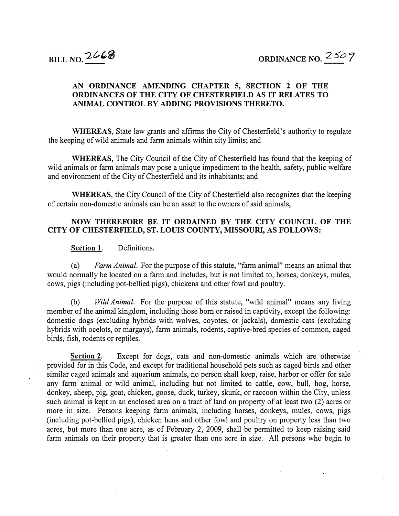## AN ORDINANCE AMENDING CHAPTER 5, SECTION 2 OF THE ORDINANCES OF THE CITY OF CHESTERFIELD AS IT RELATES TO ANIMAL CONTROL BY ADDING PROVISIONS THERETO.

WHEREAS, State law grants and affirms the City of Chesterfield's authority to regulate the keeping of wild animals and farm animals within city limits; and

WHEREAS, The City Council of the City of Chesterfield has found that the keeping of wild animals or farm animals may pose a unique impediment to the health, safety, public welfare and environment of the City of Chesterfield and its inhabitants; and

WHEREAS, the City Council of the City of Chesterfield also recognizes that the keeping of certain non-domestic animals can be an asset to the owners of said animals,

## NOW THEREFORE BE IT ORDAINED BY THE CITY COUNCIL OF THE CITY OF CHESTERFIELD, ST. LOUIS COUNTY, MISSOURI, AS FOLLOWS:

## Section 1. Definitions.

(a) Farm Animal. For the purpose of this statute, "farm animal" means an animal that would normally be located on a farm and includes, but is not limited to, horses, donkeys, mules, cows, pigs (including pot-bellied pigs), chickens and other fowl and poultry.

(b) Wild Animal. For the purpose of this statute, "wild animal" means any living member of the animal kingdom, including those born or raised in captivity, except the following: domestic dogs (excluding hybrids with wolves, coyotes, or jackals), domestic cats (excluding hybrids with ocelots, or margays), farm animals, rodents, captive-bred species of common, caged birds, fish, rodents or reptiles.

Section 2. Except for dogs, cats and non-domestic animals which are otherwise provided for in this Code, and except for traditional household pets such as caged birds and other similar caged animals and aquarium animals, no person shall keep, raise, harbor or offer for sale any farm animal or wild animal, including but not limited to cattle, cow, bull, hog, horse, donkey, sheep, pig, goat, chicken, goose, duck, turkey, skunk, or raccoon within the City, unless such animal is kept in an enclosed area on a tract of land on property of at least two (2) acres or more in size. Persons keeping farm animals, including horses, donkeys, mules, cows, pigs (including pot-bellied pigs), chicken hens and other fowl and poultry on property less than two acres, but more than one acre, as of February 2, 2009, shall be permitted to keep raising said farm animals on their property that is greater than one acre in size. All persons who begin to